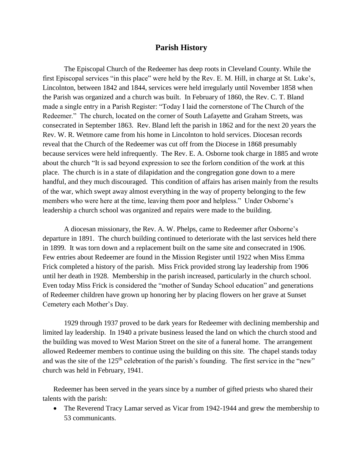## **Parish History**

The Episcopal Church of the Redeemer has deep roots in Cleveland County. While the first Episcopal services "in this place" were held by the Rev. E. M. Hill, in charge at St. Luke's, Lincolnton, between 1842 and 1844, services were held irregularly until November 1858 when the Parish was organized and a church was built. In February of 1860, the Rev. C. T. Bland made a single entry in a Parish Register: "Today I laid the cornerstone of The Church of the Redeemer." The church, located on the corner of South Lafayette and Graham Streets, was consecrated in September 1863. Rev. Bland left the parish in 1862 and for the next 20 years the Rev. W. R. Wetmore came from his home in Lincolnton to hold services. Diocesan records reveal that the Church of the Redeemer was cut off from the Diocese in 1868 presumably because services were held infrequently. The Rev. E. A. Osborne took charge in 1885 and wrote about the church "It is sad beyond expression to see the forlorn condition of the work at this place. The church is in a state of dilapidation and the congregation gone down to a mere handful, and they much discouraged. This condition of affairs has arisen mainly from the results of the war, which swept away almost everything in the way of property belonging to the few members who were here at the time, leaving them poor and helpless." Under Osborne's leadership a church school was organized and repairs were made to the building.

A diocesan missionary, the Rev. A. W. Phelps, came to Redeemer after Osborne's departure in 1891. The church building continued to deteriorate with the last services held there in 1899. It was torn down and a replacement built on the same site and consecrated in 1906. Few entries about Redeemer are found in the Mission Register until 1922 when Miss Emma Frick completed a history of the parish. Miss Frick provided strong lay leadership from 1906 until her death in 1928. Membership in the parish increased, particularly in the church school. Even today Miss Frick is considered the "mother of Sunday School education" and generations of Redeemer children have grown up honoring her by placing flowers on her grave at Sunset Cemetery each Mother's Day.

1929 through 1937 proved to be dark years for Redeemer with declining membership and limited lay leadership. In 1940 a private business leased the land on which the church stood and the building was moved to West Marion Street on the site of a funeral home. The arrangement allowed Redeemer members to continue using the building on this site. The chapel stands today and was the site of the 125<sup>th</sup> celebration of the parish's founding. The first service in the "new" church was held in February, 1941.

Redeemer has been served in the years since by a number of gifted priests who shared their talents with the parish:

• The Reverend Tracy Lamar served as Vicar from 1942-1944 and grew the membership to 53 communicants.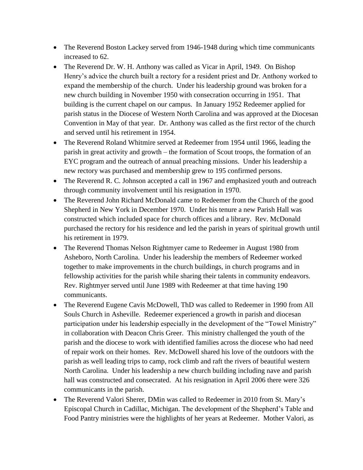- The Reverend Boston Lackey served from 1946-1948 during which time communicants increased to 62.
- The Reverend Dr. W. H. Anthony was called as Vicar in April, 1949. On Bishop Henry's advice the church built a rectory for a resident priest and Dr. Anthony worked to expand the membership of the church. Under his leadership ground was broken for a new church building in November 1950 with consecration occurring in 1951. That building is the current chapel on our campus. In January 1952 Redeemer applied for parish status in the Diocese of Western North Carolina and was approved at the Diocesan Convention in May of that year. Dr. Anthony was called as the first rector of the church and served until his retirement in 1954.
- The Reverend Roland Whitmire served at Redeemer from 1954 until 1966, leading the parish in great activity and growth – the formation of Scout troops, the formation of an EYC program and the outreach of annual preaching missions. Under his leadership a new rectory was purchased and membership grew to 195 confirmed persons.
- The Reverend R. C. Johnson accepted a call in 1967 and emphasized youth and outreach through community involvement until his resignation in 1970.
- The Reverend John Richard McDonald came to Redeemer from the Church of the good Shepherd in New York in December 1970. Under his tenure a new Parish Hall was constructed which included space for church offices and a library. Rev. McDonald purchased the rectory for his residence and led the parish in years of spiritual growth until his retirement in 1979.
- The Reverend Thomas Nelson Rightmyer came to Redeemer in August 1980 from Asheboro, North Carolina. Under his leadership the members of Redeemer worked together to make improvements in the church buildings, in church programs and in fellowship activities for the parish while sharing their talents in community endeavors. Rev. Rightmyer served until June 1989 with Redeemer at that time having 190 communicants.
- The Reverend Eugene Cavis McDowell, ThD was called to Redeemer in 1990 from All Souls Church in Asheville. Redeemer experienced a growth in parish and diocesan participation under his leadership especially in the development of the "Towel Ministry" in collaboration with Deacon Chris Greer. This ministry challenged the youth of the parish and the diocese to work with identified families across the diocese who had need of repair work on their homes. Rev. McDowell shared his love of the outdoors with the parish as well leading trips to camp, rock climb and raft the rivers of beautiful western North Carolina. Under his leadership a new church building including nave and parish hall was constructed and consecrated. At his resignation in April 2006 there were 326 communicants in the parish.
- The Reverend Valori Sherer, DMin was called to Redeemer in 2010 from St. Mary's Episcopal Church in Cadillac, Michigan. The development of the Shepherd's Table and Food Pantry ministries were the highlights of her years at Redeemer. Mother Valori, as